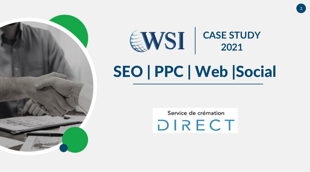



1

# SEO | PPC | Web |Social

Service de crémation DIRECT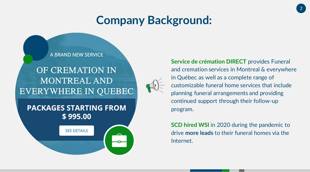#### **Company Background:**



**Service de crémation DIRECT** provides Funeral and cremation services in Montreal & everywhere in Québec as well as a complete range of customizable funeral home services that include planning funeral arrangements and providing continued support through their follow-up program.

**SCD hired WSI** in 2020 during the pandemic to drive **more leads** to their funeral homes via the Internet.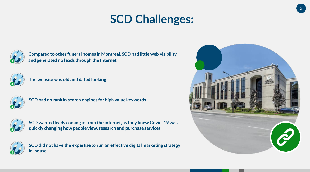## **SCD Challenges:**



**Compared to other funeral homes in Montreal, SCD had little web visibility and generated no leads through the Internet**



**The website was old and dated looking**



**SCD had no rank in search engines for high value keywords** 



**SCD wanted leads coming in from the internet, as they knew Covid-19 was quickly changing how people view, research and purchase services**



**SCD did not have the expertise to run an effective digital marketing strategy in-house**

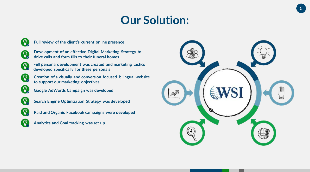### **Our Solution:**



**Full review of the client's current online presence**



**Full persona development was created and marketing tactics developed specifically for these persona's**



 $\left( \Omega\right)$ 

 $\mathbf{C}$ 

**Creation of a visually and conversion focused bilingual website to support our marketing objectives**

**Google AdWords Campaign was developed** 



 $\Omega$ 

 $\left( \Omega\right)$ 

**Search Engine Optimization Strategy was developed**

**Paid and Organic Facebook campaigns were developed**

**Analytics and Goal tracking was set up**

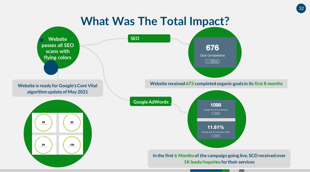